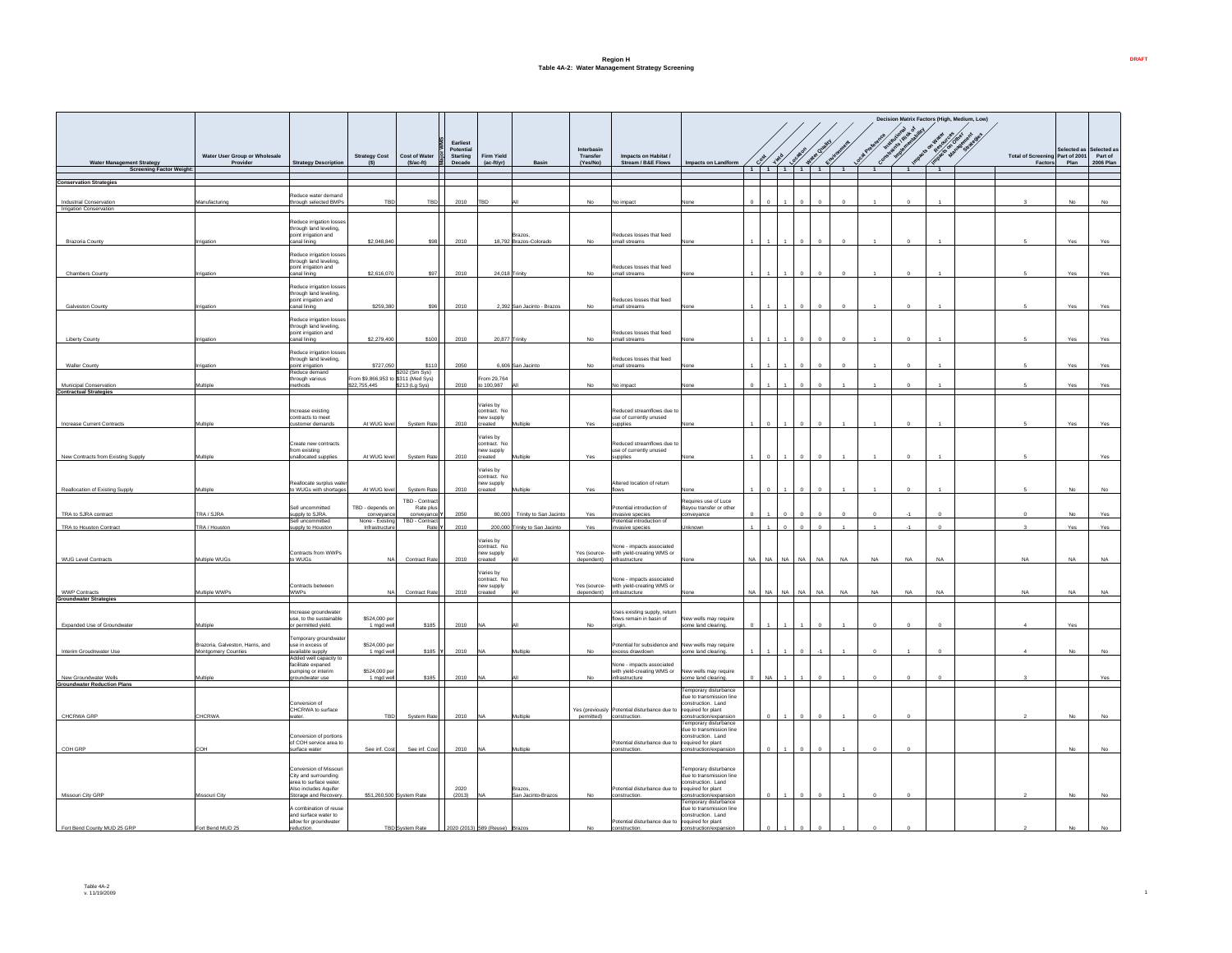## **Region H Table 4A-2: Water Management Strategy Screening**

|                                                             |                                                         |                                                    |                                                    |                          |                                          |                           |                                |                        |                                                                       |                                                   |           |           |           |                 |                             |                |                | Decision Matrix Factors (High, Medium, Low) |                |  |                                 |            |                     |
|-------------------------------------------------------------|---------------------------------------------------------|----------------------------------------------------|----------------------------------------------------|--------------------------|------------------------------------------|---------------------------|--------------------------------|------------------------|-----------------------------------------------------------------------|---------------------------------------------------|-----------|-----------|-----------|-----------------|-----------------------------|----------------|----------------|---------------------------------------------|----------------|--|---------------------------------|------------|---------------------|
|                                                             | Water User Group or Wholesale                           |                                                    | <b>Strategy Cost</b>                               | <b>Cost of Water</b>     | Earliest<br>Potential<br><b>Starting</b> | <b>Firm Yield</b>         |                                | Interbasin<br>Transfer | Impacts on Habitat /                                                  |                                                   |           |           |           | Location        | Water Quaird<br>Environment |                | Local Pre      | <b>LONGITUDE OF DRIVER</b>                  |                |  | Total of Screening Part of 2001 | elected as | Selected<br>Part of |
| <b>Water Management Strategy</b>                            | Provider                                                | <b>Strategy Description</b>                        |                                                    | $(S/ac-ft)$              | Decade                                   | $(ac-ft/yr)$              |                                | (Yes/No)               | Stream / B&E Flows                                                    | Impacts on Landform                               |           | نڑہی ک    | Viete     |                 |                             |                | Cone           | <b>VOID</b>                                 |                |  | Factors                         | Plan       | 2006 Plan           |
| <b>Screening Factor Weight:</b>                             |                                                         |                                                    |                                                    |                          |                                          |                           |                                |                        |                                                                       |                                                   |           |           |           | 1 1 1 1 1 1 1 1 |                             | $\overline{1}$ | $\overline{1}$ | $\overline{1}$                              | $\blacksquare$ |  |                                 |            |                     |
| <b>Conservation Strategies</b>                              |                                                         |                                                    |                                                    |                          |                                          |                           |                                |                        |                                                                       |                                                   |           |           |           |                 |                             |                |                |                                             |                |  |                                 |            |                     |
|                                                             |                                                         | educe water demand                                 |                                                    |                          |                                          |                           |                                |                        |                                                                       |                                                   |           |           |           |                 |                             |                |                |                                             |                |  |                                 |            |                     |
| Industrial Conservation                                     | Manufacturing                                           | through selected BMPs                              | TBD                                                | TBD                      | 2010                                     | TBD                       |                                | No                     | No impact                                                             |                                                   | $\Omega$  | $\Omega$  |           |                 |                             |                |                |                                             |                |  |                                 | No         | No                  |
| Irrigation Conservation                                     |                                                         |                                                    |                                                    |                          |                                          |                           |                                |                        |                                                                       |                                                   |           |           |           |                 |                             |                |                |                                             |                |  |                                 |            |                     |
|                                                             |                                                         | Reduce irrigation losses<br>through land leveling. |                                                    |                          |                                          |                           |                                |                        |                                                                       |                                                   |           |           |           |                 |                             |                |                |                                             |                |  |                                 |            |                     |
|                                                             |                                                         | point irrigation and                               |                                                    |                          |                                          |                           | Brazos.                        |                        | Reduces losses that feed                                              |                                                   |           |           |           |                 |                             |                |                |                                             |                |  |                                 |            |                     |
| Brazoria County                                             | gatio                                                   | anal lining                                        | \$2,048,840                                        | S98                      | 2010                                     |                           | 18.792 Brazos-Colorado         | No                     | small streams                                                         |                                                   |           |           |           |                 |                             |                |                |                                             |                |  |                                 | Yes        | Yes                 |
|                                                             |                                                         | Reduce irrigation losses                           |                                                    |                          |                                          |                           |                                |                        |                                                                       |                                                   |           |           |           |                 |                             |                |                |                                             |                |  |                                 |            |                     |
|                                                             |                                                         | hrough land leveling,<br>point irrigation and      |                                                    |                          |                                          |                           |                                |                        | Reduces losses that feed                                              |                                                   |           |           |           |                 |                             |                |                |                                             |                |  |                                 |            |                     |
| <b>Chambers County</b>                                      | rigation                                                | canal lining                                       | \$2,616,070                                        | \$97                     | 2010                                     | 24,018 Trinity            |                                | No                     | small streams                                                         |                                                   |           |           |           |                 |                             |                |                |                                             |                |  |                                 | Yes        | Yes                 |
|                                                             |                                                         | Reduce irrigation losses                           |                                                    |                          |                                          |                           |                                |                        |                                                                       |                                                   |           |           |           |                 |                             |                |                |                                             |                |  |                                 |            |                     |
|                                                             |                                                         | through land leveling,<br>point irrigation and     |                                                    |                          |                                          |                           |                                |                        | Reduces losses that feed                                              |                                                   |           |           |           |                 |                             |                |                |                                             |                |  |                                 |            |                     |
| Galveston County                                            |                                                         | anal lining                                        | \$259,380                                          | \$96                     | 2010                                     |                           | 2,392 San Jacinto - Brazos     | No                     | small streams                                                         |                                                   |           |           |           |                 |                             |                |                |                                             |                |  |                                 | Yes        | Yes                 |
|                                                             |                                                         | Reduce irrigation losses                           |                                                    |                          |                                          |                           |                                |                        |                                                                       |                                                   |           |           |           |                 |                             |                |                |                                             |                |  |                                 |            |                     |
|                                                             |                                                         | through land leveling,<br>oint irrigation and      |                                                    |                          |                                          |                           |                                |                        | Reduces losses that feed                                              |                                                   |           |           |           |                 |                             |                |                |                                             |                |  |                                 |            |                     |
| <b>Liberty County</b>                                       | rigation                                                | anal lining                                        | \$2,279,400                                        | \$100                    | 2010                                     | 20,877 Trinity            |                                | No                     | small streams                                                         |                                                   |           |           |           |                 |                             |                |                |                                             |                |  |                                 | Yes        | Yes                 |
|                                                             |                                                         | Reduce irrigation losses                           |                                                    |                          |                                          |                           |                                |                        |                                                                       |                                                   |           |           |           |                 |                             |                |                |                                             |                |  |                                 |            |                     |
|                                                             | natio                                                   | hrough land leveling,                              | \$727,050                                          | S110                     | 2050                                     |                           | 6.606 San Jacinto              | No                     | Reduces losses that feed<br>small streams                             |                                                   |           |           |           |                 |                             |                |                |                                             |                |  |                                 | Yes        | Yes                 |
| <b>Waller County</b>                                        |                                                         | point irrigation<br>Reduce demand                  |                                                    | \$202 (Sm Sys)           |                                          |                           |                                |                        |                                                                       |                                                   |           |           |           |                 |                             |                |                |                                             |                |  |                                 |            |                     |
| Municipal Conservation                                      | <b>Aultiple</b>                                         | rough various<br>ethods                            | rom \$9,866,953 to \$311 (Med Sys)<br>\$22,755,445 | \$213 (Lg Sys)           | 2010                                     | rom 29,764<br>to 100.987  |                                | No                     | No impact                                                             |                                                   |           |           |           |                 |                             |                |                |                                             |                |  |                                 | Yes        | Yes                 |
| <b>Contractual Strategies</b>                               |                                                         |                                                    |                                                    |                          |                                          |                           |                                |                        |                                                                       |                                                   |           |           |           |                 |                             |                |                |                                             |                |  |                                 |            |                     |
|                                                             |                                                         |                                                    |                                                    |                          |                                          | /aries by                 |                                |                        |                                                                       |                                                   |           |           |           |                 |                             |                |                |                                             |                |  |                                 |            |                     |
|                                                             |                                                         | ncrease existing<br>contracts to meet              |                                                    |                          |                                          | contract. No<br>ew supply |                                |                        | Reduced streamflows due to<br>use of currently unused                 |                                                   |           |           |           |                 |                             |                |                |                                             |                |  |                                 |            |                     |
| Increase Current Contracts                                  | Multipl                                                 | ustomer demand                                     | At WUG level                                       | System Rate              | 2010                                     | created                   |                                | Yes                    | supplies                                                              |                                                   |           |           |           |                 |                             |                |                |                                             |                |  |                                 | Yes        | Yes                 |
|                                                             |                                                         |                                                    |                                                    |                          |                                          | Varies hy                 |                                |                        |                                                                       |                                                   |           |           |           |                 |                             |                |                |                                             |                |  |                                 |            |                     |
|                                                             |                                                         | Create new contracts<br>from existing              |                                                    |                          |                                          | contract. No<br>ew supply |                                |                        | Reduced streamflows due to<br>use of currently unused                 |                                                   |           |           |           |                 |                             |                |                |                                             |                |  |                                 |            |                     |
| New Contracts from Existing Supply.                         | Aultipk                                                 | nallocated supplier                                | At WUG leve                                        | System Rat               | 2010                                     | reated                    |                                | Yes                    | upplies                                                               |                                                   |           |           |           |                 |                             |                |                |                                             |                |  |                                 |            | Yes                 |
|                                                             |                                                         |                                                    |                                                    |                          |                                          | Varies by                 |                                |                        |                                                                       |                                                   |           |           |           |                 |                             |                |                |                                             |                |  |                                 |            |                     |
|                                                             |                                                         | eallocate surplus wate                             |                                                    |                          |                                          | contract. No              |                                |                        | Altered Incation of return                                            |                                                   |           |           |           |                 |                             |                |                |                                             |                |  |                                 |            |                     |
| Reallocation of Existing Supply                             | Multiple                                                | to WUGs with shortages                             | At WUG leve                                        | System Rate              | 2010                                     | ew supply<br>hetee        |                                | Yes                    | flows.                                                                |                                                   |           |           |           |                 |                             |                |                |                                             |                |  |                                 |            |                     |
|                                                             |                                                         |                                                    |                                                    | TBD - Contract           |                                          |                           |                                |                        |                                                                       | equires use of Luce                               |           |           |           |                 |                             |                |                |                                             |                |  |                                 |            |                     |
| TRA to SJRA contract                                        | TRA / SJRA                                              | Sell uncommitted<br>supply to SJRA.                | TBD - depends on<br>conveyance                     | Rate plus<br>conveyance  | 2050                                     |                           | 80,000 Trinity to San Jacinto  | Yes                    | otential introduction of<br>nvasive species                           | Bayou transfer or other<br>nveyance               |           |           |           |                 |                             |                |                |                                             |                |  |                                 | <b>No</b>  | Yes                 |
|                                                             |                                                         | Sell uncommitted                                   | None - Existing                                    | TBD - Contract           |                                          |                           |                                |                        | Potential introduction of                                             |                                                   |           |           |           |                 |                             |                |                |                                             |                |  |                                 |            |                     |
| TRA to Houston Contract                                     | TRA / Houston                                           | supply to Houston                                  | Infrastructure                                     | Rate Y                   | 2010                                     |                           | 200,000 Trinity to San Jacinto | Yes                    | invasive species                                                      | hknown                                            |           |           |           | $\Omega$        |                             |                | $\overline{1}$ | $-1$                                        |                |  |                                 | Yes        | Yes                 |
|                                                             |                                                         |                                                    |                                                    |                          |                                          | /aries hy                 |                                |                        |                                                                       |                                                   |           |           |           |                 |                             |                |                |                                             |                |  |                                 |            |                     |
|                                                             |                                                         | Contracts from WWPs                                |                                                    |                          |                                          | contract. No<br>ew supply |                                | Yes (source-           | None - impacts associated<br>with yield-creating WMS or               |                                                   |           |           |           |                 |                             |                |                |                                             |                |  |                                 |            |                     |
| WUG Level Contracts                                         | Multiple WUGs                                           | o WUGs                                             | <b>NA</b>                                          | Contract Rate            | 2010                                     | ated                      |                                | dependent)             | infrastructure                                                        |                                                   | NA.       | <b>NA</b> | <b>NA</b> | <b>NA</b>       | <b>NA</b>                   | <b>NA</b>      | <b>NA</b>      | <b>NA</b>                                   | <b>NA</b>      |  | <b>NA</b>                       | <b>NA</b>  | NA                  |
|                                                             |                                                         |                                                    |                                                    |                          |                                          | Varies by                 |                                |                        |                                                                       |                                                   |           |           |           |                 |                             |                |                |                                             |                |  |                                 |            |                     |
|                                                             |                                                         | Contracts between                                  |                                                    |                          |                                          | contract. No<br>ew supply |                                | Yes (source-           | Vone - impacts associated<br>with yield-creating WMS or               |                                                   |           |           |           |                 |                             |                |                |                                             |                |  |                                 |            |                     |
| <b>WWP Contract</b><br><b>Groundwater Strategies</b>        | Multiple WWPs                                           | <b>WWPs</b>                                        | <b>NA</b>                                          | Contract Rate            | 2010                                     | created                   |                                | dependent)             | infrastructure                                                        |                                                   | <b>NA</b> | <b>NA</b> | <b>NA</b> | <b>NA</b>       | <b>NA</b>                   | <b>NA</b>      | <b>NA</b>      | <b>NA</b>                                   | <b>NA</b>      |  | <b>NA</b>                       | <b>NA</b>  | <b>NA</b>           |
|                                                             |                                                         |                                                    |                                                    |                          |                                          |                           |                                |                        |                                                                       |                                                   |           |           |           |                 |                             |                |                |                                             |                |  |                                 |            |                     |
|                                                             |                                                         | ncrease groundwater<br>use, to the sustainable     | \$524,000 per                                      |                          |                                          |                           |                                |                        | Uses existing supply, return<br>flows remain in basin of              | New wells may require                             |           |           |           |                 |                             |                |                |                                             |                |  |                                 |            |                     |
| Expanded Use of Groundw                                     | Multiple                                                | or permitted yield.                                | 1 mgd well                                         | \$185                    | 2010                                     |                           |                                | No                     | origin.                                                               | some land clearing.                               |           |           |           |                 |                             |                | $\Omega$       |                                             |                |  |                                 | Yes        |                     |
|                                                             |                                                         | Femporary groundwate                               |                                                    |                          |                                          |                           |                                |                        |                                                                       |                                                   |           |           |           |                 |                             |                |                |                                             |                |  |                                 |            |                     |
| Interim Groudnwater Use                                     | Brazoria, Galveston, Harris, and<br>Montgomery Counties | use in excess of<br>available supply               | \$524,000 per<br>1 mgd well                        | \$185 Y                  | 2010                                     |                           | <b>Multiple</b>                |                        | Potential for subsidence and New wells may require<br>excess drawdown | ome land clearing                                 |           |           |           |                 |                             |                |                |                                             |                |  |                                 |            |                     |
|                                                             |                                                         | Added well capacity to<br>facilitate expaned       |                                                    |                          |                                          |                           |                                |                        | Vone - impacts associated                                             |                                                   |           |           |           |                 |                             |                |                |                                             |                |  |                                 |            |                     |
|                                                             |                                                         | pumping or interim                                 | \$524,000 per                                      |                          |                                          |                           |                                |                        | with yield-creating WMS or                                            | New wells may require                             |           | <b>NA</b> |           |                 |                             |                |                |                                             |                |  |                                 |            |                     |
| New Groundwater Wells<br><b>Groundwater Reduction Plans</b> | lultiple                                                | roundwater use                                     | 1 mgd well                                         | \$185                    | 2010                                     |                           |                                | No                     | infrastructure                                                        | ome land clearing.                                |           |           |           |                 |                             |                |                |                                             |                |  |                                 |            | Yes                 |
|                                                             |                                                         |                                                    |                                                    |                          |                                          |                           |                                |                        |                                                                       | Temporary disturbance<br>due to transmission line |           |           |           |                 |                             |                |                |                                             |                |  |                                 |            |                     |
|                                                             |                                                         | Conversion of                                      |                                                    |                          |                                          |                           |                                |                        |                                                                       | onstruction, Land                                 |           |           |           |                 |                             |                |                |                                             |                |  |                                 |            |                     |
| CHCRWA GRP                                                  | CHCRWA                                                  | CHCRWA to surface<br>ater.                         | TBD                                                | <b>System Rate</b>       | 2010                                     |                           | Multic                         | permitted)             | Yes (previously Potential disturbance due to<br>construction.         | required for plant<br>onstruction/expansion       |           |           |           |                 |                             |                |                |                                             |                |  |                                 |            |                     |
|                                                             |                                                         |                                                    |                                                    |                          |                                          |                           |                                |                        |                                                                       | Temporary disturbance<br>due to transmission line |           |           |           |                 |                             |                |                |                                             |                |  |                                 |            |                     |
|                                                             |                                                         | Conversion of portions                             |                                                    |                          |                                          |                           |                                |                        |                                                                       | construction, Land                                |           |           |           |                 |                             |                |                |                                             |                |  |                                 |            |                     |
| COH GRP                                                     | ЮH                                                      | of COH service area to<br>surface water            | See inf. Cost                                      | See inf. Cost            | 2010                                     |                           | <b>Multipl</b>                 |                        | Potential disturbance due to required for plant<br>construction       | onstruction/expans                                |           |           |           |                 |                             |                |                |                                             |                |  |                                 |            |                     |
|                                                             |                                                         |                                                    |                                                    |                          |                                          |                           |                                |                        |                                                                       |                                                   |           |           |           |                 |                             |                |                |                                             |                |  |                                 |            |                     |
|                                                             |                                                         | Conversion of Missouri                             |                                                    |                          |                                          |                           |                                |                        |                                                                       | Femporary disturbance                             |           |           |           |                 |                             |                |                |                                             |                |  |                                 |            |                     |
|                                                             |                                                         | City and surrounding<br>area to surface water      |                                                    |                          |                                          |                           |                                |                        |                                                                       | due to transmission line<br>onstruction. Land     |           |           |           |                 |                             |                |                |                                             |                |  |                                 |            |                     |
| Missouri City GRP                                           | fissouri City                                           | Also includes Aguifer<br>Storage and Recovery      |                                                    | \$51,260,500 System Rate | 2020<br>(2013)                           |                           | Brazos.<br>San Jacinto-Brazos  | No                     | Potential disturbance due to required for plant<br>construction.      | nstruction/expansio                               |           |           |           |                 |                             |                |                |                                             |                |  |                                 | No         | No                  |
|                                                             |                                                         | combination of reuse                               |                                                    |                          |                                          |                           |                                |                        |                                                                       | emporary disturbance                              |           |           |           |                 |                             |                |                |                                             |                |  |                                 |            |                     |
|                                                             |                                                         | and surface water to                               |                                                    |                          |                                          |                           |                                |                        |                                                                       | due to transmission line<br>construction, Land    |           |           |           |                 |                             |                |                |                                             |                |  |                                 |            |                     |
| Fort Bend County MUD 25 GRP                                 | Fort Bend MUD 25                                        | allow for groundwater<br>reduction.                |                                                    | <b>TBD</b> System Rate   |                                          | 2020 (2013) 589 (Reuse)   |                                | No                     | Potential disturbance due to required for plant<br>construction.      |                                                   |           |           |           | $\circ$         | $\circ$                     |                | $\circ$        |                                             |                |  |                                 | No         | No                  |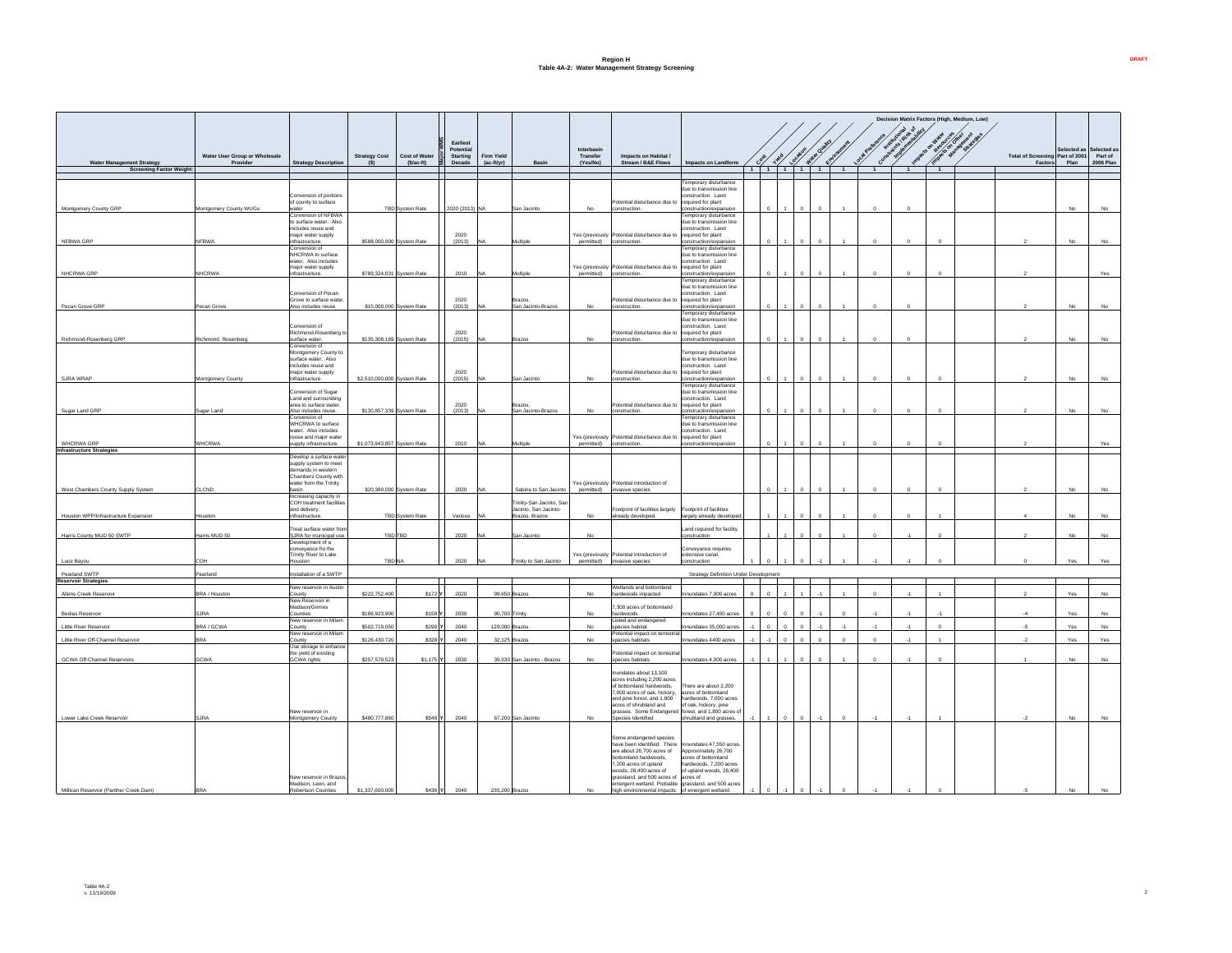## **Region H Table 4A-2: Water Management Strategy Screening**

|                                                                            |                                           |                                                                                                                         |                                |                                                    |                                                    |                            |                                                                                             |                                    |                                                                                                                                                                                                                                                                                               |                                                                                                                                                    |          |          |            |                |                |                |                | Decision Matrix Factors (High, Medium, Low) |                                                   |                          |                                     |
|----------------------------------------------------------------------------|-------------------------------------------|-------------------------------------------------------------------------------------------------------------------------|--------------------------------|----------------------------------------------------|----------------------------------------------------|----------------------------|---------------------------------------------------------------------------------------------|------------------------------------|-----------------------------------------------------------------------------------------------------------------------------------------------------------------------------------------------------------------------------------------------------------------------------------------------|----------------------------------------------------------------------------------------------------------------------------------------------------|----------|----------|------------|----------------|----------------|----------------|----------------|---------------------------------------------|---------------------------------------------------|--------------------------|-------------------------------------|
| <b>Water Management Strategy</b>                                           | Water User Group or Wholesale<br>Provider | <b>Strategy Description</b>                                                                                             | <b>Strategy Cost</b><br>(S)    | <b>Cost of Water</b><br>$(S/ac-ft)$                | Earliest<br>Potential<br><b>Starting</b><br>Decade | Firm Yield<br>$(ac-flyrr)$ | Basin                                                                                       | Interbasin<br>Transfer<br>(Yes/No) | Impacts on Habitat /<br>Stream / B&E Flows                                                                                                                                                                                                                                                    | Impacts on Landform                                                                                                                                | Cost 100 | Location | Water Oual | Environm       | Con            |                |                |                                             | <b>Total of Screening Part of 2001</b><br>Factors | <b>lected</b> as<br>Plan | Selected as<br>Part of<br>2006 Plan |
| <b>Screening Factor Weight:</b>                                            |                                           |                                                                                                                         |                                |                                                    |                                                    |                            |                                                                                             |                                    |                                                                                                                                                                                                                                                                                               |                                                                                                                                                    |          |          |            | $\overline{1}$ | $\overline{1}$ | $\overline{1}$ | $\blacksquare$ |                                             |                                                   |                          |                                     |
| Montgomery County GRP                                                      | Montgomery County WUGs                    | onversion of portions<br>of county to surface<br>ater                                                                   |                                | <b>TBD System Rate</b>                             | 2020 (2013) NA                                     |                            | San Jacinto                                                                                 | No                                 | Potential disturbance due to required for plant<br>construction.                                                                                                                                                                                                                              | Temporary disturbance<br>due to transmission line<br>hne L. noibuntanos<br>onstruction/expansion                                                   |          |          |            |                |                |                |                |                                             |                                                   | No                       | No                                  |
| NFBWA GRP                                                                  | <b>NFRWA</b>                              | Conversion of NFBWA<br>o surface water. Also<br>ncludes reuse and<br>najor water supply<br>nfrastructure.               |                                | \$588,000,000 System Rate                          | 2020<br>(2013)                                     |                            | Multiple                                                                                    | permitted)                         | Yes (previously Potential disturbance due to<br>construction.                                                                                                                                                                                                                                 | emporary disturbance<br>due to transmission line<br>onstruction. Land<br>required for plant<br>onstruction/expansio                                |          |          |            |                | $\Omega$       |                |                |                                             |                                                   | No                       | No                                  |
| NHCRWA GRP                                                                 | <b>NHCRWA</b>                             | onversion of<br><b>IHCRWA</b> to surface<br>water. Also includes<br>najor water supply<br>frastructure.                 |                                | \$789,324,631 System Rate                          | 2010                                               |                            | Multiple                                                                                    | permitted)                         | Yes (previously Potential disturbance due to required for plant<br>construction.                                                                                                                                                                                                              | emporary disturbance<br>due to transmission line<br>construction, Land<br>onstruction/expansio                                                     |          |          |            |                | $\Omega$       |                |                |                                             |                                                   |                          | Yes                                 |
| Pecan Grove GRP                                                            | Pecan Grove                               | Conversion of Pecan<br>inve to surface water<br>Nso includes reuse                                                      |                                | \$15,000,000 System Rate                           | 2020<br>(2013)                                     |                            | <b>Brazos</b><br>San Jacinto-Brazos                                                         | No                                 | Potential disturbance due to required for plant<br>construction.                                                                                                                                                                                                                              | emporary disturbance<br>due to transmission line<br>onstruction, Land<br>onstruction/expansion                                                     |          |          |            |                |                |                |                |                                             |                                                   | No                       | No                                  |
| Richmond-Rosenberg GRP                                                     | Richmond, Rosenben                        | Conversion of<br>Richmond-Rosenberg t<br>urface water.                                                                  |                                | \$135,308,169 System Rate                          | 2020<br>(2015)                                     |                            | Brazor                                                                                      | No                                 | Potential disturbance due to required for plant<br>construction.                                                                                                                                                                                                                              | Temporary disturbance<br>due to transmission line<br>construction. Land<br>instruction/expansio                                                    |          |          |            |                |                |                |                |                                             |                                                   | No                       | No                                  |
| SJRA WRAP                                                                  | Montgomery County                         | onversion of<br>Montgomery County to<br>surface water Also<br>includes reuse and<br>naior water supply<br>frastructure. | \$2,510,000,000 System Rate    |                                                    | 2020<br>(2015)                                     |                            | San Jacinto                                                                                 | No                                 | otential disturbance due to<br>construction.                                                                                                                                                                                                                                                  | Temporary disturbance<br>due to transmission line<br>construction, Land<br>required for plant<br>onstruction/expansi                               |          |          |            |                |                |                |                |                                             |                                                   | <b>No</b>                | No                                  |
| Sugar Land GRP                                                             | Sugar Land                                | onversion of Sugar<br>Land and surrounding<br>area to surface water.<br>Also includes reuse.                            |                                | \$130,857,339 System Rate                          | 2020<br>(2013)                                     |                            | Brazos.<br>San Jacinto-Brazos                                                               | No                                 | Potential disturbance due to required for plant<br>construction.                                                                                                                                                                                                                              | emporary disturbance<br>due to transmission line<br>construction. Land<br>onstruction/expansior                                                    |          |          |            |                |                |                |                |                                             |                                                   | No                       | No                                  |
| <b>WHCRWA GRP</b>                                                          | <b>NHCRWA</b>                             | Conversion of<br>WHCRWA to surface<br>vater. Also includes<br>euse and major water<br>upply infrastructure.             | \$1,073,943,857 System Rate    |                                                    | 2010                                               |                            | Multiple                                                                                    | permitted)                         | Yes (previously Potential disturbance due to required for plant<br>construction.                                                                                                                                                                                                              | Temporary disturbance<br>due to transmission line<br>construction, Land<br>construction/expans                                                     |          |          |            |                |                |                |                |                                             |                                                   |                          | Yes                                 |
| <b>Infrastructure Strategies</b>                                           |                                           | Develop a surface wate<br>supply system to meet<br>demands in western<br>Chambers County with<br>water from the Trinity |                                |                                                    |                                                    |                            |                                                                                             |                                    | Yes (previously Potential introduction of                                                                                                                                                                                                                                                     |                                                                                                                                                    |          |          |            |                |                |                |                |                                             |                                                   |                          |                                     |
| West Chambers County Supply System<br>Houston WPP/Infrastructure Expansion | <b>CLCND</b><br>ouston                    | asin.<br>ncreasing capacity in<br>COH treatment facilities<br>and delivery<br>nfrastructure                             |                                | \$20,380,000 System Rate<br><b>TRD</b> System Rate | 2020<br>Various                                    |                            | Sabine to San Jacinto<br>Trinity-San Jacinto, Sar<br>Jacinto, San Jacinto-<br>trazos Brazos | permitted)<br><b>No</b>            | invasive species<br>Footprint of facilities largely<br>already developed.                                                                                                                                                                                                                     | Footprint of facilities<br>argely already develope                                                                                                 |          |          |            |                |                |                |                |                                             |                                                   | No<br>No                 | No.                                 |
| Harris County MUD 50 SWTP                                                  | Harris MUD 50                             | Freat surface water fror<br>SJRA for municipal use.<br>Development of a                                                 |                                | TBD TBD                                            | 2020                                               |                            | San Jacinto                                                                                 | No                                 |                                                                                                                                                                                                                                                                                               | Land required for facility<br>construction                                                                                                         |          |          |            |                |                |                |                |                                             |                                                   | No                       | No                                  |
| Luce Bayou                                                                 |                                           | pnveyance fro the<br><b>Trinity River to Lake</b>                                                                       | <b>TBD</b> <sub>N</sub>        |                                                    |                                                    |                            | rinity to San Jacin                                                                         | Yes (previously<br>permitted)      | Potential introduction of<br>invasive species                                                                                                                                                                                                                                                 | onveyance requires<br>xtensive canal<br>nstruction                                                                                                 |          |          |            |                |                |                |                |                                             |                                                   |                          |                                     |
| Pearland SWTP<br><b>Reservoir Strategies</b>                               | Pearland                                  | stallation of a SWTP                                                                                                    |                                |                                                    |                                                    |                            |                                                                                             |                                    |                                                                                                                                                                                                                                                                                               | <b>Strategy Definition Under Development</b>                                                                                                       |          |          |            |                |                |                |                |                                             |                                                   |                          |                                     |
| Allens Creek Reservoir                                                     | BRA / Houston                             | New reservoir in Austin<br>County<br>New Reservoir in                                                                   | \$222,752,400                  | \$172                                              | 2020                                               | 99,650                     |                                                                                             | No                                 | Wetlands and bottomland<br>ardwoods impacted                                                                                                                                                                                                                                                  | undates 7,000 acres                                                                                                                                |          |          |            |                |                |                |                |                                             |                                                   | Yes                      | No                                  |
| Bedias Reservoir                                                           | A 91.2                                    | Madison/Grimes<br>anitrun?<br>Vew reservoir in Milam                                                                    | \$186,923,900                  | \$158 Y                                            | 2030                                               |                            | 90 700 Trinity                                                                              | No.                                | 7,300 acres of bottomland<br>hardwoods<br>Listed and endangered                                                                                                                                                                                                                               | nundates 27.400 acres                                                                                                                              |          |          |            | $\sim$         |                |                | $\mathcal{A}$  |                                             | $\overline{A}$                                    | Yes                      | No                                  |
| Little River Reservoir<br>Little River Off-Channel Reservoir               | BRA / GCWA<br><b>RA</b>                   | County<br>New reservoir in Milam<br>ounty                                                                               | \$502,719,050<br>\$126,430,720 | \$299 Y<br>\$328                                   | 2040<br>2040                                       | 129,000                    | 32,125 Brazor                                                                               | No<br>No                           | species habitat<br>Potential impact on terrestrial<br>species habitats                                                                                                                                                                                                                        | nundates 35,000 acres<br>nnundates 4400 acres                                                                                                      |          |          |            | $\Omega$       |                | $\mathbf{A}$   |                |                                             | $\overline{a}$                                    | Yes<br>Yes               | No<br>Yes                           |
|                                                                            |                                           | Use storage to enhance<br>he vield of existing                                                                          |                                |                                                    |                                                    |                            |                                                                                             |                                    | Potential impact on terrestrial                                                                                                                                                                                                                                                               |                                                                                                                                                    |          |          |            |                |                |                |                |                                             |                                                   |                          |                                     |
| <b>GCWA Off-Channel Reservoirs</b>                                         | <b>GCWA</b>                               | <b>GCWA</b> rights                                                                                                      | \$257,579,523                  | \$1,175 Y                                          | 2030                                               |                            | 39,530 San Jacinto - Brazos                                                                 |                                    | species habitats<br>nundates about 13 100                                                                                                                                                                                                                                                     | Innundates 4,000 acres                                                                                                                             |          |          |            |                |                |                |                |                                             |                                                   |                          |                                     |
| Lower Lake Creek Reservoir                                                 | <b>SJRA</b>                               | lew reservoir in<br><b>Montgomery County</b>                                                                            | \$480,777,860                  | \$548 Y                                            | 2040                                               |                            | 67,200 San Jacinto                                                                          |                                    | acres including 2,200 acres<br>of bottomland hardwoods.<br>7,000 acres of oak hickory<br>and pine forest, and 1,800<br>acres of shrubland and<br>grasses. Some Endangered forest, and 1,800 acres of<br>Species Identified                                                                    | here are about 2.200<br>hostenoftod hasnos<br>hardwoods, 7,000 acres<br>of oak, hickory, pine<br>shrubland and grasses.                            |          |          |            |                |                |                |                |                                             |                                                   |                          |                                     |
| Millican Reservoir (Panther Creek Dam)                                     |                                           | <b>New reservoir in Brazos</b><br>Madison, Leon, and<br>obertson Counties                                               | \$1.337,600,000                | \$436 Y                                            |                                                    |                            |                                                                                             |                                    | Some endangered species<br>have been identified. There<br>are about 26,700 acres of<br>bottomland hardwoods.<br>7,200 acres of upland<br>woods, 28,400 acres of<br>grassland, and 500 acres of acres of<br>emergent wetland. Probable grassland, and 500 acres<br>high environmental impacts. | nnundates 47,550 acres.<br>Approximately 26.700<br>acres of bottomland<br>hardwoods, 7,200 acres<br>f upland woods, 28,400<br>of emergent wetland. |          |          |            |                |                |                |                |                                             |                                                   |                          |                                     |

 $9$